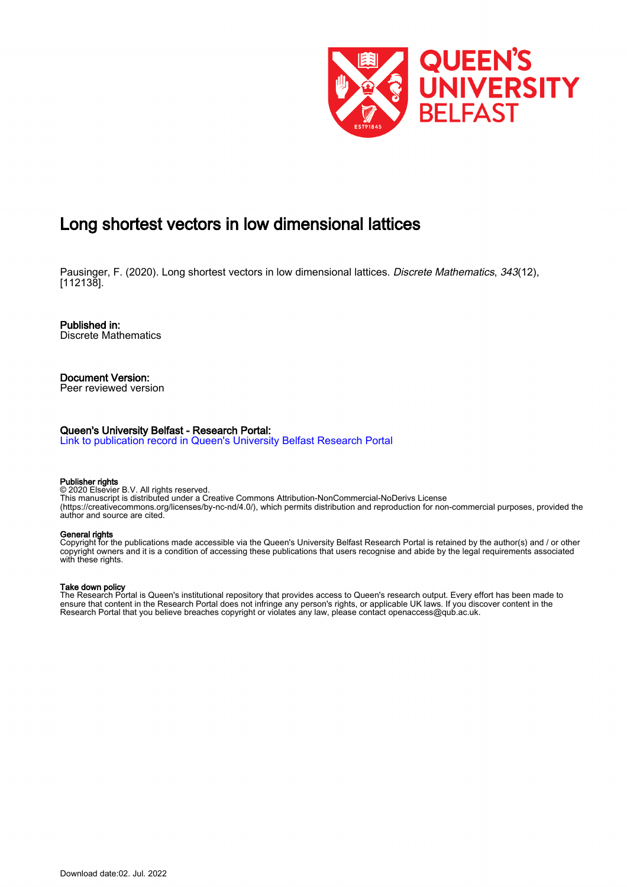

# Long shortest vectors in low dimensional lattices

Pausinger, F. (2020). Long shortest vectors in low dimensional lattices. Discrete Mathematics, 343(12). [112138].

Published in: Discrete Mathematics

Document Version: Peer reviewed version

## Queen's University Belfast - Research Portal:

[Link to publication record in Queen's University Belfast Research Portal](https://pure.qub.ac.uk/en/publications/3e7f767d-f573-439e-b27d-18f9508b2fa5)

### Publisher rights

© 2020 Elsevier B.V. All rights reserved. This manuscript is distributed under a Creative Commons Attribution-NonCommercial-NoDerivs License (https://creativecommons.org/licenses/by-nc-nd/4.0/), which permits distribution and reproduction for non-commercial purposes, provided the author and source are cited.

### General rights

Copyright for the publications made accessible via the Queen's University Belfast Research Portal is retained by the author(s) and / or other copyright owners and it is a condition of accessing these publications that users recognise and abide by the legal requirements associated with these rights.

### Take down policy

The Research Portal is Queen's institutional repository that provides access to Queen's research output. Every effort has been made to ensure that content in the Research Portal does not infringe any person's rights, or applicable UK laws. If you discover content in the Research Portal that you believe breaches copyright or violates any law, please contact openaccess@qub.ac.uk.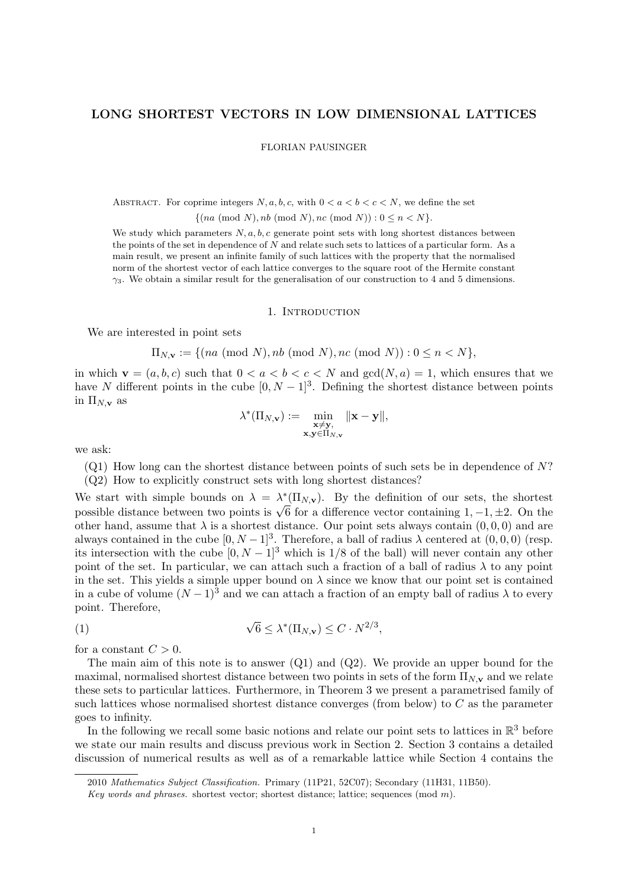# LONG SHORTEST VECTORS IN LOW DIMENSIONAL LATTICES

FLORIAN PAUSINGER

ABSTRACT. For coprime integers  $N, a, b, c$ , with  $0 < a < b < c < N$ , we define the set

 $\{(na \pmod{N}, nb \pmod{N}, nc \pmod{N}) : 0 \leq n < N\}.$ 

We study which parameters  $N, a, b, c$  generate point sets with long shortest distances between the points of the set in dependence of  $N$  and relate such sets to lattices of a particular form. As a main result, we present an infinite family of such lattices with the property that the normalised norm of the shortest vector of each lattice converges to the square root of the Hermite constant  $\gamma_3$ . We obtain a similar result for the generalisation of our construction to 4 and 5 dimensions.

### 1. INTRODUCTION

We are interested in point sets

 $\Pi_{N,\mathbf{v}} := \{(na \pmod{N}, nb \pmod{N}, nc \pmod{N}) : 0 \le n \le N\},\$ 

in which  $\mathbf{v} = (a, b, c)$  such that  $0 < a < b < c < N$  and  $gcd(N, a) = 1$ , which ensures that we have N different points in the cube  $[0, N-1]^3$ . Defining the shortest distance between points in  $\Pi_{N,\mathbf{v}}$  as

$$
\lambda^*(\Pi_{N,\mathbf{v}}) := \min_{\substack{\mathbf{x} \neq \mathbf{y}, \\ \mathbf{x}, \mathbf{y} \in \Pi_{N,\mathbf{v}}}} \|\mathbf{x} - \mathbf{y}\|,
$$

we ask:

 $(Q1)$  How long can the shortest distance between points of such sets be in dependence of N?

(Q2) How to explicitly construct sets with long shortest distances?

We start with simple bounds on  $\lambda = \lambda^* (\Pi_{N,\mathbf{v}})$ . By the definition of our sets, the shortest possible distance between two points is  $\sqrt{6}$  for a difference vector containing  $1, -1, \pm 2$ . On the other hand, assume that  $\lambda$  is a shortest distance. Our point sets always contain  $(0, 0, 0)$  and are always contained in the cube  $[0, N-1]^3$ . Therefore, a ball of radius  $\lambda$  centered at  $(0, 0, 0)$  (resp. its intersection with the cube  $[0, N-1]^3$  which is 1/8 of the ball) will never contain any other point of the set. In particular, we can attach such a fraction of a ball of radius  $\lambda$  to any point in the set. This yields a simple upper bound on  $\lambda$  since we know that our point set is contained in a cube of volume  $(N-1)^3$  and we can attach a fraction of an empty ball of radius  $\lambda$  to every point. Therefore,

(1) 
$$
\sqrt{6} \leq \lambda^* (\Pi_{N,\mathbf{v}}) \leq C \cdot N^{2/3},
$$

for a constant  $C > 0$ .

The main aim of this note is to answer  $(Q1)$  and  $(Q2)$ . We provide an upper bound for the maximal, normalised shortest distance between two points in sets of the form  $\Pi_{N,\mathbf{v}}$  and we relate these sets to particular lattices. Furthermore, in Theorem 3 we present a parametrised family of such lattices whose normalised shortest distance converges (from below) to  $C$  as the parameter goes to infinity.

In the following we recall some basic notions and relate our point sets to lattices in  $\mathbb{R}^3$  before we state our main results and discuss previous work in Section 2. Section 3 contains a detailed discussion of numerical results as well as of a remarkable lattice while Section 4 contains the

<sup>2010</sup> Mathematics Subject Classification. Primary (11P21, 52C07); Secondary (11H31, 11B50).

Key words and phrases. shortest vector; shortest distance; lattice; sequences  $(mod m)$ .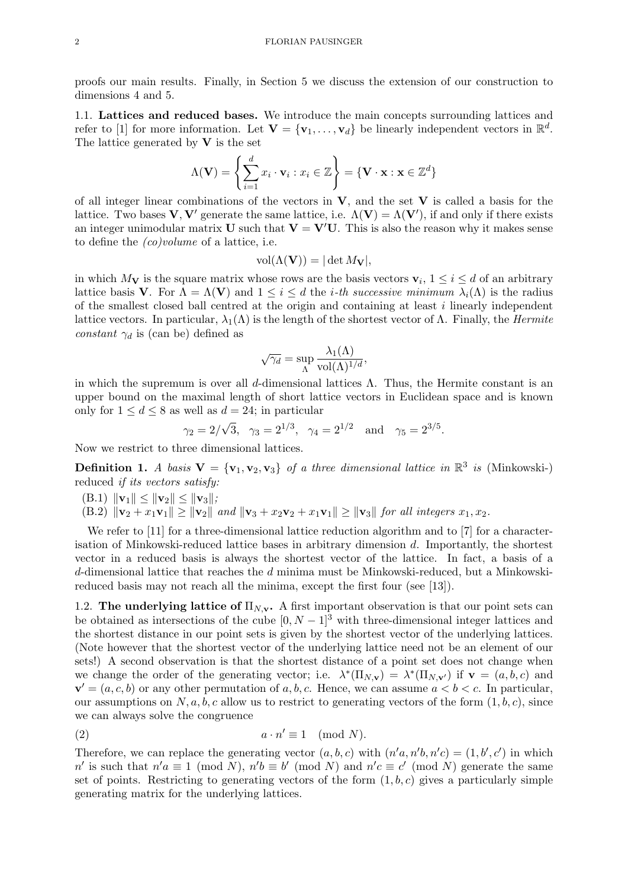proofs our main results. Finally, in Section 5 we discuss the extension of our construction to dimensions 4 and 5.

1.1. Lattices and reduced bases. We introduce the main concepts surrounding lattices and refer to [1] for more information. Let  $\mathbf{V} = {\mathbf{v}_1, \dots, \mathbf{v}_d}$  be linearly independent vectors in  $\mathbb{R}^d$ . The lattice generated by  $V$  is the set

$$
\Lambda(\mathbf{V}) = \left\{ \sum_{i=1}^{d} x_i \cdot \mathbf{v}_i : x_i \in \mathbb{Z} \right\} = \left\{ \mathbf{V} \cdot \mathbf{x} : \mathbf{x} \in \mathbb{Z}^d \right\}
$$

of all integer linear combinations of the vectors in  $V$ , and the set  $V$  is called a basis for the lattice. Two bases  $V, V'$  generate the same lattice, i.e.  $\Lambda(V) = \Lambda(V')$ , if and only if there exists an integer unimodular matrix U such that  $V = V'U$ . This is also the reason why it makes sense to define the (co)volume of a lattice, i.e.

$$
\text{vol}(\Lambda(\mathbf{V})) = |\det M_{\mathbf{V}}|,
$$

in which  $M_{\mathbf{V}}$  is the square matrix whose rows are the basis vectors  $\mathbf{v}_i, 1 \leq i \leq d$  of an arbitrary lattice basis **V**. For  $\Lambda = \Lambda(\mathbf{V})$  and  $1 \leq i \leq d$  the *i*-th successive minimum  $\lambda_i(\Lambda)$  is the radius of the smallest closed ball centred at the origin and containing at least i linearly independent lattice vectors. In particular,  $\lambda_1(\Lambda)$  is the length of the shortest vector of  $\Lambda$ . Finally, the *Hermite* constant  $\gamma_d$  is (can be) defined as

$$
\sqrt{\gamma_d} = \sup_{\Lambda} \frac{\lambda_1(\Lambda)}{\text{vol}(\Lambda)^{1/d}},
$$

in which the supremum is over all d-dimensional lattices  $\Lambda$ . Thus, the Hermite constant is an upper bound on the maximal length of short lattice vectors in Euclidean space and is known only for  $1 \leq d \leq 8$  as well as  $d = 24$ ; in particular

$$
\gamma_2 = 2/\sqrt{3}, \quad \gamma_3 = 2^{1/3}, \quad \gamma_4 = 2^{1/2} \quad \text{and} \quad \gamma_5 = 2^{3/5}.
$$

Now we restrict to three dimensional lattices.

**Definition 1.** A basis  $V = \{v_1, v_2, v_3\}$  of a three dimensional lattice in  $\mathbb{R}^3$  is (Minkowski-) reduced if its vectors satisfy:

- $(B.1)$   $\|\mathbf{v}_1\| \leq \|\mathbf{v}_2\| \leq \|\mathbf{v}_3\|;$
- (B.2)  $\|\mathbf{v}_2 + x_1\mathbf{v}_1\| \ge \|\mathbf{v}_2\|$  and  $\|\mathbf{v}_3 + x_2\mathbf{v}_2 + x_1\mathbf{v}_1\| \ge \|\mathbf{v}_3\|$  for all integers  $x_1, x_2$ .

We refer to [11] for a three-dimensional lattice reduction algorithm and to [7] for a characterisation of Minkowski-reduced lattice bases in arbitrary dimension d. Importantly, the shortest vector in a reduced basis is always the shortest vector of the lattice. In fact, a basis of a d-dimensional lattice that reaches the d minima must be Minkowski-reduced, but a Minkowskireduced basis may not reach all the minima, except the first four (see [13]).

1.2. The underlying lattice of  $\Pi_{N,\mathbf{v}}$ . A first important observation is that our point sets can be obtained as intersections of the cube  $[0, N-1]^3$  with three-dimensional integer lattices and the shortest distance in our point sets is given by the shortest vector of the underlying lattices. (Note however that the shortest vector of the underlying lattice need not be an element of our sets!) A second observation is that the shortest distance of a point set does not change when we change the order of the generating vector; i.e.  $\lambda^*(\Pi_{N,\mathbf{v}}) = \lambda^*(\Pi_{N,\mathbf{v}})$  if  $\mathbf{v} = (a,b,c)$  and  $\mathbf{v}' = (a, c, b)$  or any other permutation of a, b, c. Hence, we can assume  $a < b < c$ . In particular, our assumptions on  $N, a, b, c$  allow us to restrict to generating vectors of the form  $(1, b, c)$ , since we can always solve the congruence

$$
(2) \t a \cdot n' \equiv 1 \pmod{N}.
$$

Therefore, we can replace the generating vector  $(a, b, c)$  with  $(n'a, n'b, n'c) = (1, b', c')$  in which n' is such that  $n'a \equiv 1 \pmod{N}$ ,  $n'b \equiv b' \pmod{N}$  and  $n'c \equiv c' \pmod{N}$  generate the same set of points. Restricting to generating vectors of the form  $(1, b, c)$  gives a particularly simple generating matrix for the underlying lattices.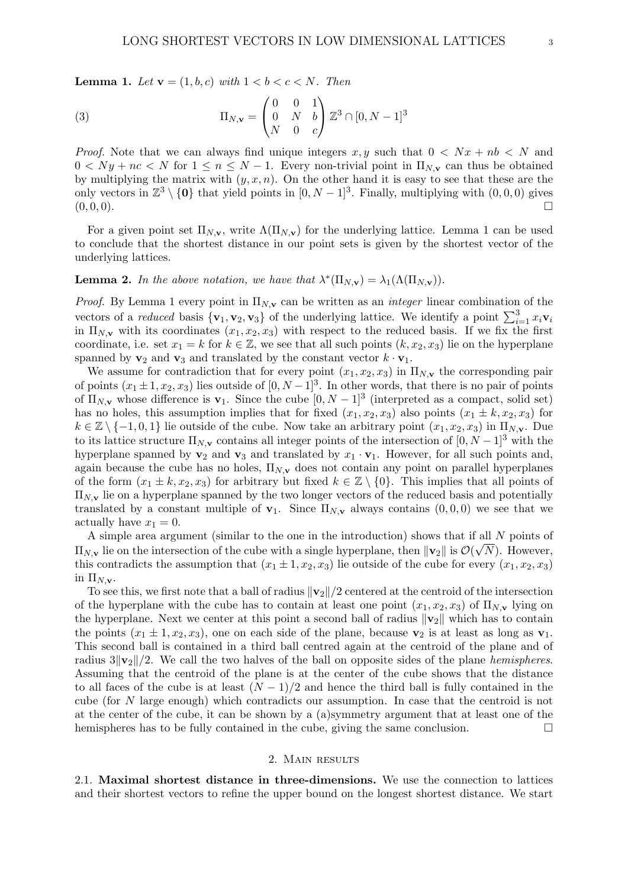**Lemma 1.** Let  $\mathbf{v} = (1, b, c)$  with  $1 < b < c < N$ . Then

(3) 
$$
\Pi_{N,\mathbf{v}} = \begin{pmatrix} 0 & 0 & 1 \\ 0 & N & b \\ N & 0 & c \end{pmatrix} \mathbb{Z}^3 \cap [0, N-1]^3
$$

*Proof.* Note that we can always find unique integers x, y such that  $0 < Nx + nb < N$  and  $0 < Ny + nc < N$  for  $1 \le n \le N - 1$ . Every non-trivial point in  $\Pi_{N,\mathbf{v}}$  can thus be obtained by multiplying the matrix with  $(y, x, n)$ . On the other hand it is easy to see that these are the only vectors in  $\mathbb{Z}^3 \setminus \{0\}$  that yield points in  $[0, N-1]^3$ . Finally, multiplying with  $(0, 0, 0)$  gives  $(0, 0, 0)$ .

For a given point set  $\Pi_{N,\mathbf{v}}$ , write  $\Lambda(\Pi_{N,\mathbf{v}})$  for the underlying lattice. Lemma 1 can be used to conclude that the shortest distance in our point sets is given by the shortest vector of the underlying lattices.

# **Lemma 2.** In the above notation, we have that  $\lambda^*(\Pi_{N,v}) = \lambda_1(\Lambda(\Pi_{N,v}))$ .

*Proof.* By Lemma 1 every point in  $\Pi_{N,\mathbf{v}}$  can be written as an *integer* linear combination of the vectors of a *reduced* basis  $\{v_1, v_2, v_3\}$  of the underlying lattice. We identify a point  $\sum_{i=1}^3 x_i v_i$ in  $\Pi_{N,\mathbf{v}}$  with its coordinates  $(x_1, x_2, x_3)$  with respect to the reduced basis. If we fix the first coordinate, i.e. set  $x_1 = k$  for  $k \in \mathbb{Z}$ , we see that all such points  $(k, x_2, x_3)$  lie on the hyperplane spanned by  $\mathbf{v}_2$  and  $\mathbf{v}_3$  and translated by the constant vector  $k \cdot \mathbf{v}_1$ .

We assume for contradiction that for every point  $(x_1, x_2, x_3)$  in  $\Pi_{N,\mathbf{v}}$  the corresponding pair of points  $(x_1 \pm 1, x_2, x_3)$  lies outside of  $[0, N-1]^3$ . In other words, that there is no pair of points of  $\Pi_{N,\mathbf{v}}$  whose difference is  $\mathbf{v}_1$ . Since the cube  $[0, N-1]^3$  (interpreted as a compact, solid set) has no holes, this assumption implies that for fixed  $(x_1, x_2, x_3)$  also points  $(x_1 \pm k, x_2, x_3)$  for  $k \in \mathbb{Z} \setminus \{-1, 0, 1\}$  lie outside of the cube. Now take an arbitrary point  $(x_1, x_2, x_3)$  in  $\Pi_{N, \mathbf{v}}$ . Due to its lattice structure  $\Pi_{N,\mathbf{v}}$  contains all integer points of the intersection of  $[0, N-1]^3$  with the hyperplane spanned by  $v_2$  and  $v_3$  and translated by  $x_1 \cdot v_1$ . However, for all such points and, again because the cube has no holes,  $\Pi_{N,\mathbf{v}}$  does not contain any point on parallel hyperplanes of the form  $(x_1 \pm k, x_2, x_3)$  for arbitrary but fixed  $k \in \mathbb{Z} \setminus \{0\}$ . This implies that all points of  $\Pi_{N,\mathbf{v}}$  lie on a hyperplane spanned by the two longer vectors of the reduced basis and potentially translated by a constant multiple of  $\mathbf{v}_1$ . Since  $\Pi_{N,\mathbf{v}}$  always contains  $(0,0,0)$  we see that we actually have  $x_1 = 0$ .

A simple area argument (similar to the one in the introduction) shows that if all N points of  $\Pi_{N,v}$  lie on the intersection of the cube with a single hyperplane, then  $\|\mathbf{v}_2\|$  is  $\mathcal{O}(\sqrt{N})$ . However, this contradicts the assumption that  $(x_1 \pm 1, x_2, x_3)$  lie outside of the cube for every  $(x_1, x_2, x_3)$ in  $\Pi_{N,\mathbf{v}}$ .

To see this, we first note that a ball of radius  $\|\mathbf{v}_2\|/2$  centered at the centroid of the intersection of the hyperplane with the cube has to contain at least one point  $(x_1, x_2, x_3)$  of  $\Pi_{N, \mathbf{v}}$  lying on the hyperplane. Next we center at this point a second ball of radius  $\|\mathbf{v}_2\|$  which has to contain the points  $(x_1 \pm 1, x_2, x_3)$ , one on each side of the plane, because  $\mathbf{v}_2$  is at least as long as  $\mathbf{v}_1$ . This second ball is contained in a third ball centred again at the centroid of the plane and of radius  $3||v_2||/2$ . We call the two halves of the ball on opposite sides of the plane hemispheres. Assuming that the centroid of the plane is at the center of the cube shows that the distance to all faces of the cube is at least  $(N-1)/2$  and hence the third ball is fully contained in the cube (for N large enough) which contradicts our assumption. In case that the centroid is not at the center of the cube, it can be shown by a (a)symmetry argument that at least one of the hemispheres has to be fully contained in the cube, giving the same conclusion.

### 2. Main results

2.1. Maximal shortest distance in three-dimensions. We use the connection to lattices and their shortest vectors to refine the upper bound on the longest shortest distance. We start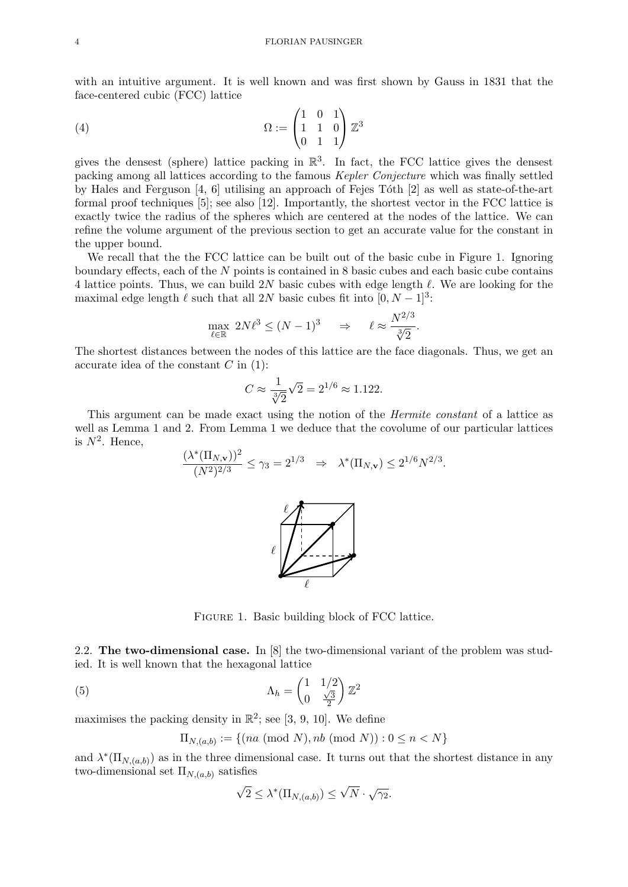with an intuitive argument. It is well known and was first shown by Gauss in 1831 that the face-centered cubic (FCC) lattice

(4) 
$$
\Omega := \begin{pmatrix} 1 & 0 & 1 \\ 1 & 1 & 0 \\ 0 & 1 & 1 \end{pmatrix} \mathbb{Z}^3
$$

gives the densest (sphere) lattice packing in  $\mathbb{R}^3$ . In fact, the FCC lattice gives the densest packing among all lattices according to the famous Kepler Conjecture which was finally settled by Hales and Ferguson  $[4, 6]$  utilising an approach of Fejes Tóth  $[2]$  as well as state-of-the-art formal proof techniques [5]; see also [12]. Importantly, the shortest vector in the FCC lattice is exactly twice the radius of the spheres which are centered at the nodes of the lattice. We can refine the volume argument of the previous section to get an accurate value for the constant in the upper bound.

We recall that the the FCC lattice can be built out of the basic cube in Figure 1. Ignoring boundary effects, each of the N points is contained in 8 basic cubes and each basic cube contains 4 lattice points. Thus, we can build 2N basic cubes with edge length  $\ell$ . We are looking for the maximal edge length  $\ell$  such that all 2N basic cubes fit into  $[0, N - 1]^3$ :

$$
\max_{\ell \in \mathbb{R}} 2N\ell^3 \le (N-1)^3 \quad \Rightarrow \quad \ell \approx \frac{N^{2/3}}{\sqrt[3]{2}}.
$$

The shortest distances between the nodes of this lattice are the face diagonals. Thus, we get an accurate idea of the constant  $C$  in  $(1)$ :

$$
C \approx \frac{1}{\sqrt[3]{2}}\sqrt{2} = 2^{1/6} \approx 1.122.
$$

This argument can be made exact using the notion of the Hermite constant of a lattice as well as Lemma 1 and 2. From Lemma 1 we deduce that the covolume of our particular lattices is  $N^2$ . Hence,

$$
\frac{(\lambda^*(\Pi_{N,\mathbf{v}}))^2}{(N^2)^{2/3}} \le \gamma_3 = 2^{1/3} \Rightarrow \lambda^*(\Pi_{N,\mathbf{v}}) \le 2^{1/6} N^{2/3}.
$$



FIGURE 1. Basic building block of FCC lattice.

2.2. The two-dimensional case. In [8] the two-dimensional variant of the problem was studied. It is well known that the hexagonal lattice

(5) 
$$
\Lambda_h = \begin{pmatrix} 1 & 1/2 \\ 0 & \frac{\sqrt{3}}{2} \end{pmatrix} \mathbb{Z}^2
$$

maximises the packing density in  $\mathbb{R}^2$ ; see [3, 9, 10]. We define

$$
\Pi_{N,(a,b)} := \{ (na \pmod{N}, nb \pmod{N}) : 0 \le n < N \}
$$

and  $\lambda^*(\Pi_{N,(a,b)})$  as in the three dimensional case. It turns out that the shortest distance in any two-dimensional set  $\Pi_{N,(a,b)}$  satisfies

$$
\sqrt{2} \le \lambda^* (\Pi_{N,(a,b)}) \le \sqrt{N} \cdot \sqrt{\gamma_2}.
$$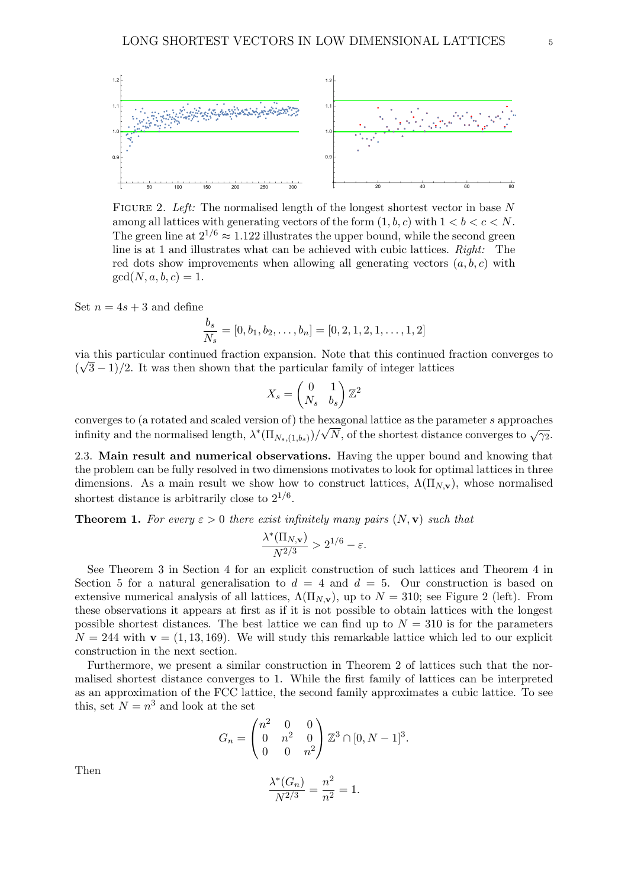

FIGURE 2. Left: The normalised length of the longest shortest vector in base N among all lattices with generating vectors of the form  $(1, b, c)$  with  $1 < b < c < N$ . The green line at  $2^{1/6} \approx 1.122$  illustrates the upper bound, while the second green line is at 1 and illustrates what can be achieved with cubic lattices. Right: The red dots show improvements when allowing all generating vectors  $(a, b, c)$  with  $gcd(N, a, b, c) = 1.$ 

Set  $n = 4s + 3$  and define

$$
\frac{b_s}{N_s} = [0, b_1, b_2, \dots, b_n] = [0, 2, 1, 2, 1, \dots, 1, 2]
$$

via this particular continued fraction expansion. Note that this continued fraction converges to √  $(\sqrt{3}-1)/2$ . It was then shown that the particular family of integer lattices

$$
X_s = \begin{pmatrix} 0 & 1 \\ N_s & b_s \end{pmatrix} \mathbb{Z}^2
$$

converges to (a rotated and scaled version of) the hexagonal lattice as the parameter s approaches infinity and the normalised length,  $\lambda^*(\Pi_{N_s,(1,b_s)})/\sqrt{N}$ , of the shortest distance converges to  $\sqrt{\gamma_2}$ .

2.3. Main result and numerical observations. Having the upper bound and knowing that the problem can be fully resolved in two dimensions motivates to look for optimal lattices in three dimensions. As a main result we show how to construct lattices,  $\Lambda(\Pi_{N,\mathbf{v}})$ , whose normalised shortest distance is arbitrarily close to  $2^{1/6}$ .

**Theorem 1.** For every  $\varepsilon > 0$  there exist infinitely many pairs  $(N, \mathbf{v})$  such that

$$
\frac{\lambda^*(\Pi_{N,{\bf v}})}{N^{2/3}}>2^{1/6}-\varepsilon.
$$

See Theorem 3 in Section 4 for an explicit construction of such lattices and Theorem 4 in Section 5 for a natural generalisation to  $d = 4$  and  $d = 5$ . Our construction is based on extensive numerical analysis of all lattices,  $\Lambda(\Pi_{N,\mathbf{v}})$ , up to  $N = 310$ ; see Figure 2 (left). From these observations it appears at first as if it is not possible to obtain lattices with the longest possible shortest distances. The best lattice we can find up to  $N = 310$  is for the parameters  $N = 244$  with  $\mathbf{v} = (1, 13, 169)$ . We will study this remarkable lattice which led to our explicit construction in the next section.

Furthermore, we present a similar construction in Theorem 2 of lattices such that the normalised shortest distance converges to 1. While the first family of lattices can be interpreted as an approximation of the FCC lattice, the second family approximates a cubic lattice. To see this, set  $N = n^3$  and look at the set

$$
G_n = \begin{pmatrix} n^2 & 0 & 0 \\ 0 & n^2 & 0 \\ 0 & 0 & n^2 \end{pmatrix} \mathbb{Z}^3 \cap [0, N-1]^3.
$$

Then

$$
\frac{\lambda^*(G_n)}{N^{2/3}} = \frac{n^2}{n^2} = 1.
$$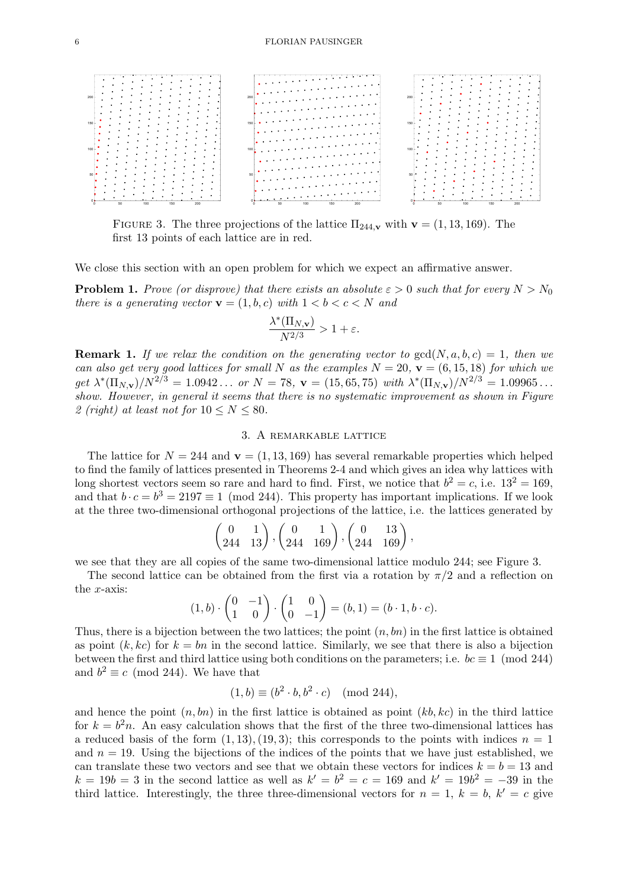

FIGURE 3. The three projections of the lattice  $\Pi_{244,\mathbf{v}}$  with  $\mathbf{v} = (1, 13, 169)$ . The first 13 points of each lattice are in red.

We close this section with an open problem for which we expect an affirmative answer.

**Problem 1.** Prove (or disprove) that there exists an absolute  $\varepsilon > 0$  such that for every  $N > N_0$ there is a generating vector  $\mathbf{v} = (1, b, c)$  with  $1 < b < c < N$  and

$$
\frac{\lambda^*(\Pi_{N,{\bf v}})}{N^{2/3}}>1+\varepsilon.
$$

**Remark 1.** If we relax the condition on the generating vector to  $gcd(N, a, b, c) = 1$ , then we can also get very good lattices for small N as the examples  $N = 20$ ,  $\mathbf{v} = (6, 15, 18)$  for which we get  $\lambda^*(\Pi_{N,\mathbf{v}})/N^{2/3} = 1.0942...$  or  $N = 78$ ,  $\mathbf{v} = (15,65,75)$  with  $\lambda^*(\Pi_{N,\mathbf{v}})/N^{2/3} = 1.09965...$ show. However, in general it seems that there is no systematic improvement as shown in Figure 2 (right) at least not for  $10 \le N \le 80$ .

## 3. A remarkable lattice

The lattice for  $N = 244$  and  $\mathbf{v} = (1, 13, 169)$  has several remarkable properties which helped to find the family of lattices presented in Theorems 2-4 and which gives an idea why lattices with long shortest vectors seem so rare and hard to find. First, we notice that  $b^2 = c$ , i.e.  $13^2 = 169$ , and that  $b \cdot c = b^3 = 2197 \equiv 1 \pmod{244}$ . This property has important implications. If we look at the three two-dimensional orthogonal projections of the lattice, i.e. the lattices generated by

$$
\begin{pmatrix} 0 & 1 \\ 244 & 13 \end{pmatrix}, \begin{pmatrix} 0 & 1 \\ 244 & 169 \end{pmatrix}, \begin{pmatrix} 0 & 13 \\ 244 & 169 \end{pmatrix},
$$

we see that they are all copies of the same two-dimensional lattice modulo 244; see Figure 3.

The second lattice can be obtained from the first via a rotation by  $\pi/2$  and a reflection on the x-axis:

$$
(1,b)\cdot \begin{pmatrix} 0 & -1 \\ 1 & 0 \end{pmatrix} \cdot \begin{pmatrix} 1 & 0 \\ 0 & -1 \end{pmatrix} = (b,1) = (b\cdot 1, b\cdot c).
$$

Thus, there is a bijection between the two lattices; the point  $(n, bn)$  in the first lattice is obtained as point  $(k, kc)$  for  $k = bn$  in the second lattice. Similarly, we see that there is also a bijection between the first and third lattice using both conditions on the parameters; i.e.  $bc \equiv 1 \pmod{244}$ and  $b^2 \equiv c \pmod{244}$ . We have that

$$
(1,b) \equiv (b^2 \cdot b, b^2 \cdot c) \pmod{244},
$$

and hence the point  $(n, bn)$  in the first lattice is obtained as point  $(kb, kc)$  in the third lattice for  $k = b<sup>2</sup>n$ . An easy calculation shows that the first of the three two-dimensional lattices has a reduced basis of the form  $(1, 13)$ ,  $(19, 3)$ ; this corresponds to the points with indices  $n = 1$ and  $n = 19$ . Using the bijections of the indices of the points that we have just established, we can translate these two vectors and see that we obtain these vectors for indices  $k = b = 13$  and  $k = 19b = 3$  in the second lattice as well as  $k' = b^2 = c = 169$  and  $k' = 19b^2 = -39$  in the third lattice. Interestingly, the three three-dimensional vectors for  $n = 1, k = b, k' = c$  give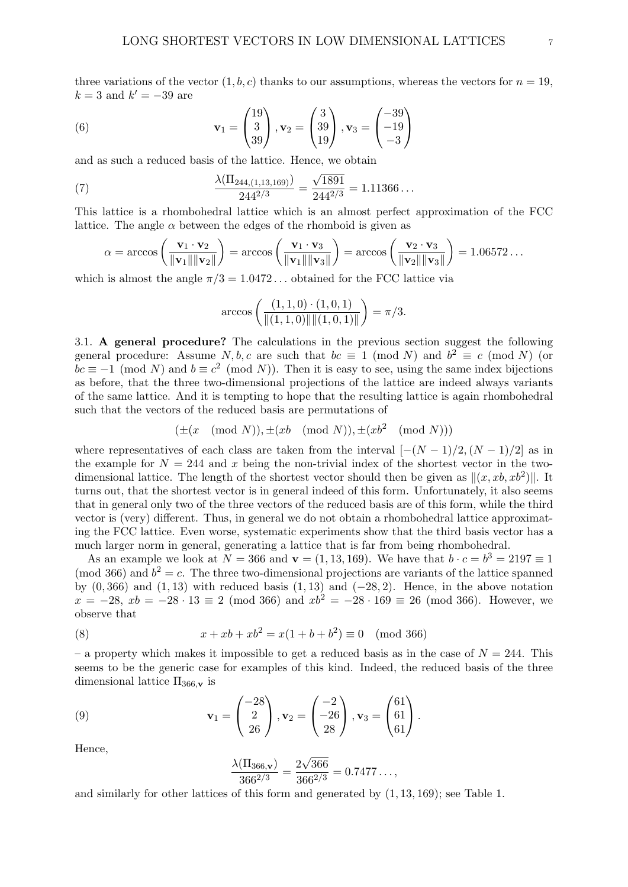three variations of the vector  $(1, b, c)$  thanks to our assumptions, whereas the vectors for  $n = 19$ ,  $k = 3$  and  $k' = -39$  are

(6) 
$$
\mathbf{v}_1 = \begin{pmatrix} 19 \\ 3 \\ 39 \end{pmatrix}, \mathbf{v}_2 = \begin{pmatrix} 3 \\ 39 \\ 19 \end{pmatrix}, \mathbf{v}_3 = \begin{pmatrix} -39 \\ -19 \\ -3 \end{pmatrix}
$$

and as such a reduced basis of the lattice. Hence, we obtain

(7) 
$$
\frac{\lambda(\Pi_{244,(1,13,169)})}{244^{2/3}} = \frac{\sqrt{1891}}{244^{2/3}} = 1.11366...
$$

This lattice is a rhombohedral lattice which is an almost perfect approximation of the FCC lattice. The angle  $\alpha$  between the edges of the rhomboid is given as

$$
\alpha = \arccos\left(\frac{\mathbf{v}_1 \cdot \mathbf{v}_2}{\|\mathbf{v}_1\| \|\mathbf{v}_2\|}\right) = \arccos\left(\frac{\mathbf{v}_1 \cdot \mathbf{v}_3}{\|\mathbf{v}_1\| \|\mathbf{v}_3\|}\right) = \arccos\left(\frac{\mathbf{v}_2 \cdot \mathbf{v}_3}{\|\mathbf{v}_2\| \|\mathbf{v}_3\|}\right) = 1.06572\dots
$$

which is almost the angle  $\pi/3 = 1.0472...$  obtained for the FCC lattice via

$$
\arccos\left(\frac{(1,1,0)\cdot(1,0,1)}{\|(1,1,0)\| \|(1,0,1)\|}\right) = \pi/3.
$$

3.1. A general procedure? The calculations in the previous section suggest the following general procedure: Assume N, b, c are such that  $bc \equiv 1 \pmod{N}$  and  $b^2 \equiv c \pmod{N}$  (or  $bc \equiv -1 \pmod{N}$  and  $b \equiv c^2 \pmod{N}$ . Then it is easy to see, using the same index bijections as before, that the three two-dimensional projections of the lattice are indeed always variants of the same lattice. And it is tempting to hope that the resulting lattice is again rhombohedral such that the vectors of the reduced basis are permutations of

$$
(\pm(x \pmod{N}), \pm(xb \pmod{N}), \pm(xb^2 \pmod{N}))
$$

where representatives of each class are taken from the interval  $[-(N-1)/2, (N-1)/2]$  as in the example for  $N = 244$  and x being the non-trivial index of the shortest vector in the twodimensional lattice. The length of the shortest vector should then be given as  $\|(x, xb, xb^2)\|$ . It turns out, that the shortest vector is in general indeed of this form. Unfortunately, it also seems that in general only two of the three vectors of the reduced basis are of this form, while the third vector is (very) different. Thus, in general we do not obtain a rhombohedral lattice approximating the FCC lattice. Even worse, systematic experiments show that the third basis vector has a much larger norm in general, generating a lattice that is far from being rhombohedral.

As an example we look at  $N = 366$  and  $\mathbf{v} = (1, 13, 169)$ . We have that  $b \cdot c = b^3 = 2197 \equiv 1$ (mod 366) and  $b^2 = c$ . The three two-dimensional projections are variants of the lattice spanned by  $(0, 366)$  and  $(1, 13)$  with reduced basis  $(1, 13)$  and  $(-28, 2)$ . Hence, in the above notation  $x = -28$ ,  $xb = -28 \cdot 13 \equiv 2 \pmod{366}$  and  $xb^2 = -28 \cdot 169 \equiv 26 \pmod{366}$ . However, we observe that

(8) 
$$
x + xb + xb2 = x(1 + b + b2) \equiv 0 \pmod{366}
$$

– a property which makes it impossible to get a reduced basis as in the case of  $N = 244$ . This seems to be the generic case for examples of this kind. Indeed, the reduced basis of the three dimensional lattice  $\Pi_{366,\mathbf{v}}$  is

(9) 
$$
\mathbf{v}_1 = \begin{pmatrix} -28 \\ 2 \\ 26 \end{pmatrix}, \mathbf{v}_2 = \begin{pmatrix} -2 \\ -26 \\ 28 \end{pmatrix}, \mathbf{v}_3 = \begin{pmatrix} 61 \\ 61 \\ 61 \end{pmatrix}.
$$

Hence,

$$
\frac{\lambda(\Pi_{366,\mathbf{v}})}{366^{2/3}} = \frac{2\sqrt{366}}{366^{2/3}} = 0.7477\dots,
$$

and similarly for other lattices of this form and generated by  $(1, 13, 169)$ ; see Table 1.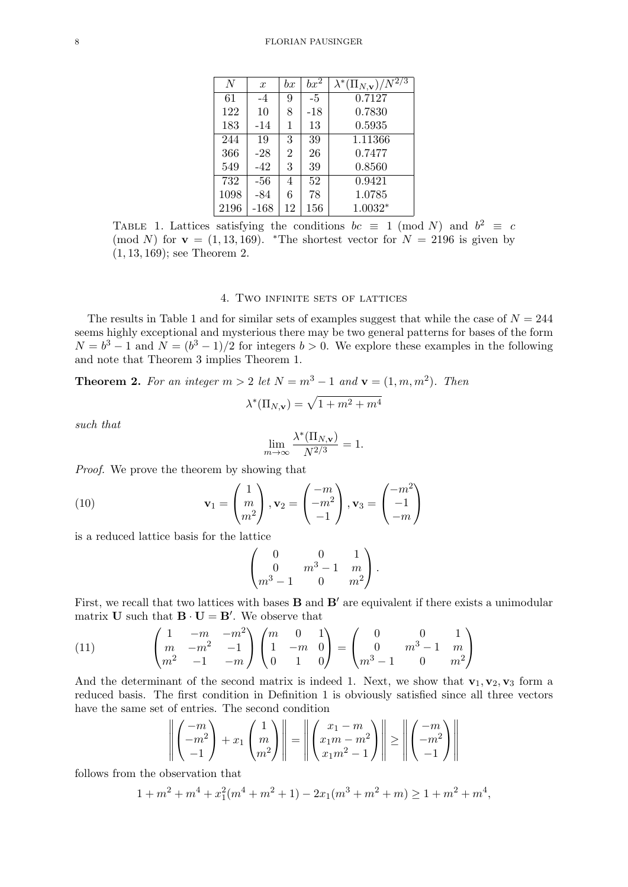| $\overline{N}$ | $\boldsymbol{x}$ | $_{bx}$        | $bx^2$ | $\lambda^*(\Pi_{N,{\bf v}})/\overline{N^{2/3}}$ |
|----------------|------------------|----------------|--------|-------------------------------------------------|
| 61             | $-4$             | 9              | $-5$   | 0.7127                                          |
| 122            | 10               | 8              | $-18$  | 0.7830                                          |
| 183            | -14              | 1              | 13     | 0.5935                                          |
| 244            | 19               | 3              | 39     | 1.11366                                         |
| 366            | $-28$            | $\overline{2}$ | 26     | 0.7477                                          |
| 549            | $-42$            | 3              | 39     | 0.8560                                          |
| 732            | -56              | $\overline{4}$ | 52     | 0.9421                                          |
| 1098           | -84              | 6              | 78     | 1.0785                                          |
| 2196           | $-168$           | 12             | 156    | $1.0032*$                                       |

TABLE 1. Lattices satisfying the conditions  $bc \equiv 1 \pmod{N}$  and  $b^2 \equiv c$ (mod N) for  $\mathbf{v} = (1, 13, 169)$ . \*The shortest vector for  $N = 2196$  is given by (1, 13, 169); see Theorem 2.

### 4. Two infinite sets of lattices

The results in Table 1 and for similar sets of examples suggest that while the case of  $N = 244$ seems highly exceptional and mysterious there may be two general patterns for bases of the form  $N = b<sup>3</sup> - 1$  and  $N = (b<sup>3</sup> - 1)/2$  for integers  $b > 0$ . We explore these examples in the following and note that Theorem 3 implies Theorem 1.

**Theorem 2.** For an integer  $m > 2$  let  $N = m^3 - 1$  and  $\mathbf{v} = (1, m, m^2)$ . Then

$$
\lambda^*(\Pi_{N,\mathbf{v}}) = \sqrt{1 + m^2 + m^4}
$$

= 1.

such that

$$
\lim_{m\to\infty}\frac{\lambda^*(\Pi_{N,{\bf v}})}{N^{2/3}}=
$$

Proof. We prove the theorem by showing that

(10) 
$$
\mathbf{v}_1 = \begin{pmatrix} 1 \\ m \\ m^2 \end{pmatrix}, \mathbf{v}_2 = \begin{pmatrix} -m \\ -m^2 \\ -1 \end{pmatrix}, \mathbf{v}_3 = \begin{pmatrix} -m^2 \\ -1 \\ -m \end{pmatrix}
$$

is a reduced lattice basis for the lattice

$$
\begin{pmatrix} 0 & 0 & 1 \ 0 & m^3 - 1 & m \ m^3 - 1 & 0 & m^2 \end{pmatrix}.
$$

First, we recall that two lattices with bases  $\bf{B}$  and  $\bf{B}'$  are equivalent if there exists a unimodular matrix **U** such that  $\mathbf{B} \cdot \mathbf{U} = \mathbf{B}'$ . We observe that

(11) 
$$
\begin{pmatrix} 1 & -m & -m^2 \ m & -m^2 & -1 \ m^2 & -1 & -m \end{pmatrix} \begin{pmatrix} m & 0 & 1 \ 1 & -m & 0 \ 0 & 1 & 0 \end{pmatrix} = \begin{pmatrix} 0 & 0 & 1 \ 0 & m^3 - 1 & m \ m^3 - 1 & 0 & m^2 \end{pmatrix}
$$

And the determinant of the second matrix is indeed 1. Next, we show that  $\mathbf{v}_1, \mathbf{v}_2, \mathbf{v}_3$  form a reduced basis. The first condition in Definition 1 is obviously satisfied since all three vectors have the same set of entries. The second condition

$$
\left\| \begin{pmatrix} -m \\ -m^2 \\ -1 \end{pmatrix} + x_1 \begin{pmatrix} 1 \\ m \\ m^2 \end{pmatrix} \right\| = \left\| \begin{pmatrix} x_1 - m \\ x_1 m - m^2 \\ x_1 m^2 - 1 \end{pmatrix} \right\| \ge \left\| \begin{pmatrix} -m \\ -m^2 \\ -1 \end{pmatrix} \right\|
$$

follows from the observation that

$$
1 + m2 + m4 + x12(m4 + m2 + 1) - 2x1(m3 + m2 + m) \ge 1 + m2 + m4,
$$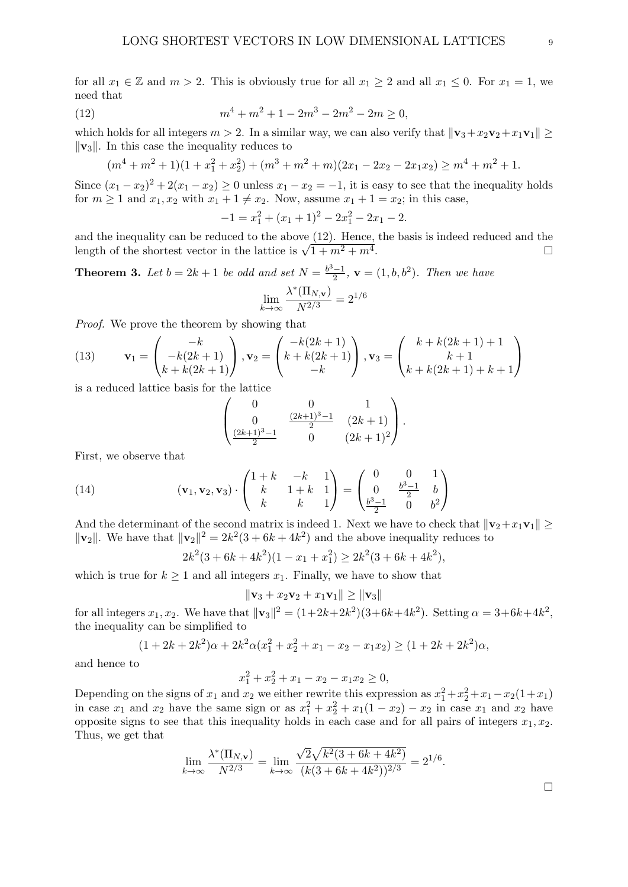for all  $x_1 \in \mathbb{Z}$  and  $m > 2$ . This is obviously true for all  $x_1 \geq 2$  and all  $x_1 \leq 0$ . For  $x_1 = 1$ , we need that

(12) 
$$
m^4 + m^2 + 1 - 2m^3 - 2m^2 - 2m \ge 0,
$$

which holds for all integers  $m > 2$ . In a similar way, we can also verify that  $\|\mathbf{v}_3 + x_2\mathbf{v}_2 + x_1\mathbf{v}_1\|$  $\|\mathbf{v}_3\|$ . In this case the inequality reduces to

$$
(m4 + m2 + 1)(1 + x12 + x22) + (m3 + m2 + m)(2x1 - 2x2 - 2x1x2) \ge m4 + m2 + 1.
$$

Since  $(x_1-x_2)^2+2(x_1-x_2) \ge 0$  unless  $x_1-x_2=-1$ , it is easy to see that the inequality holds for  $m \geq 1$  and  $x_1, x_2$  with  $x_1 + 1 \neq x_2$ . Now, assume  $x_1 + 1 = x_2$ ; in this case,

$$
-1 = x_1^2 + (x_1 + 1)^2 - 2x_1^2 - 2x_1 - 2.
$$

and the inequality can be reduced to the above (12). Hence, the basis is indeed reduced and the and the mequanty can be reduced to the above  $(12)$ . Hence, the basis is indeed reduced and the length of the shortest vector in the lattice is  $\sqrt{1+m^2+m^4}$ .

**Theorem 3.** Let  $b = 2k + 1$  be odd and set  $N = \frac{b^3 - 1}{2}$  $\frac{b-1}{2}$ ,  $\mathbf{v} = (1, b, b^2)$ . Then we have lim k→∞  $\lambda^*(\Pi_{N,\mathbf{v}})$  $\frac{(11N,\mathbf{v})}{N^{2/3}} = 2^{1/6}$ 

Proof. We prove the theorem by showing that

(13) 
$$
\mathbf{v}_1 = \begin{pmatrix} -k \\ -k(2k+1) \\ k+k(2k+1) \end{pmatrix}, \mathbf{v}_2 = \begin{pmatrix} -k(2k+1) \\ k+k(2k+1) \\ -k \end{pmatrix}, \mathbf{v}_3 = \begin{pmatrix} k+k(2k+1)+1 \\ k+1 \\ k+k(2k+1)+k+1 \end{pmatrix}
$$

is a reduced lattice basis for the lattice

$$
\begin{pmatrix}\n0 & 0 & 1 \\
0 & \frac{(2k+1)^3 - 1}{2} & (2k+1) \\
\frac{(2k+1)^3 - 1}{2} & 0 & (2k+1)^2\n\end{pmatrix}.
$$

First, we observe that

(14) 
$$
(\mathbf{v}_1, \mathbf{v}_2, \mathbf{v}_3) \cdot \begin{pmatrix} 1+k & -k & 1 \\ k & 1+k & 1 \\ k & k & 1 \end{pmatrix} = \begin{pmatrix} 0 & 0 & 1 \\ 0 & \frac{b^3-1}{2} & b \\ \frac{b^3-1}{2} & 0 & b^2 \end{pmatrix}
$$

And the determinant of the second matrix is indeed 1. Next we have to check that  $||\mathbf{v}_2+x_1\mathbf{v}_1|| \ge$  $\|\mathbf{v}_2\|$ . We have that  $\|\mathbf{v}_2\|^2 = 2k^2(3 + 6k + 4k^2)$  and the above inequality reduces to

$$
2k^2(3+6k+4k^2)(1-x_1+x_1^2) \ge 2k^2(3+6k+4k^2),
$$

which is true for  $k \geq 1$  and all integers  $x_1$ . Finally, we have to show that

$$
\|\mathbf{v}_3 + x_2 \mathbf{v}_2 + x_1 \mathbf{v}_1\| \ge \|\mathbf{v}_3\|
$$

for all integers  $x_1, x_2$ . We have that  $\|\mathbf{v}_3\|^2 = (1+2k+2k^2)(3+6k+4k^2)$ . Setting  $\alpha = 3+6k+4k^2$ , the inequality can be simplified to

$$
(1+2k+2k^2)\alpha+2k^2\alpha(x_1^2+x_2^2+x_1-x_2-x_1x_2) \ge (1+2k+2k^2)\alpha,
$$

and hence to

$$
x_1^2 + x_2^2 + x_1 - x_2 - x_1 x_2 \ge 0,
$$

Depending on the signs of  $x_1$  and  $x_2$  we either rewrite this expression as  $x_1^2 + x_2^2 + x_1 - x_2(1+x_1)$ in case  $x_1$  and  $x_2$  have the same sign or as  $x_1^2 + x_2^2 + x_1(1 - x_2) - x_2$  in case  $x_1$  and  $x_2$  have opposite signs to see that this inequality holds in each case and for all pairs of integers  $x_1, x_2$ . Thus, we get that

$$
\lim_{k \to \infty} \frac{\lambda^*(\Pi_{N,\mathbf{v}})}{N^{2/3}} = \lim_{k \to \infty} \frac{\sqrt{2}\sqrt{k^2(3+6k+4k^2)}}{(k(3+6k+4k^2))^{2/3}} = 2^{1/6}.
$$

 $\Box$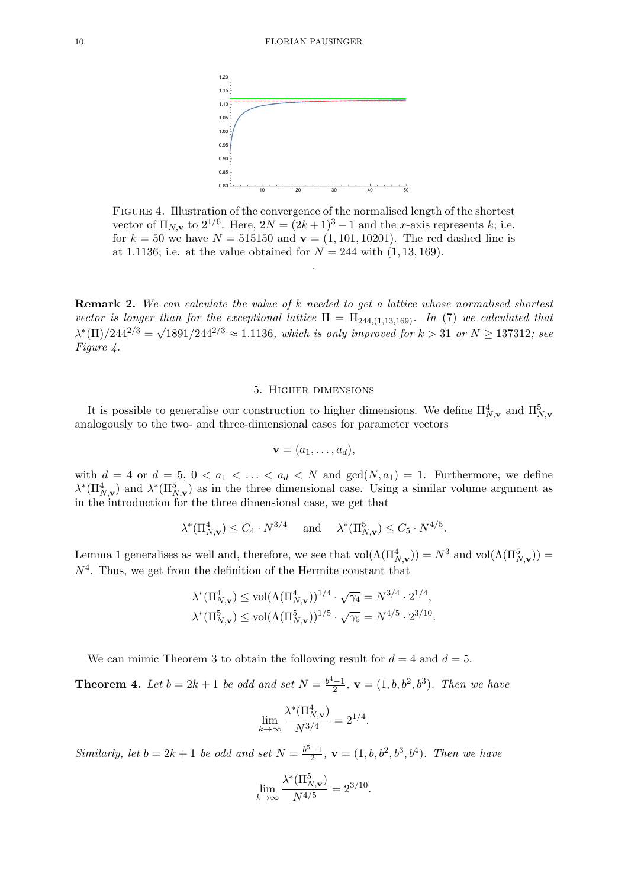

Figure 4. Illustration of the convergence of the normalised length of the shortest vector of  $\Pi_{N,\mathbf{v}}$  to  $2^{1/6}$ . Here,  $2N = (2k+1)^3 - 1$  and the x-axis represents k; i.e. for  $k = 50$  we have  $N = 515150$  and  $\mathbf{v} = (1, 101, 10201)$ . The red dashed line is at 1.1136; i.e. at the value obtained for  $N = 244$  with  $(1, 13, 169)$ .

.

Remark 2. We can calculate the value of k needed to get a lattice whose normalised shortest vector is longer than for the exceptional lattice  $\Pi = \Pi_{244,(1,13,169)}$ . In (7) we calculated that  $\lambda^*(\Pi)/244^{2/3} = \sqrt{1891}/244^{2/3} \approx 1.1136$ , which is only improved for  $k > 31$  or  $N \ge 137312$ ; see Figure 4.

### 5. Higher dimensions

It is possible to generalise our construction to higher dimensions. We define  $\Pi_{N,\mathbf{v}}^4$  and  $\Pi_{N,\mathbf{v}}^5$ analogously to the two- and three-dimensional cases for parameter vectors

$$
\mathbf{v}=(a_1,\ldots,a_d),
$$

with  $d = 4$  or  $d = 5$ ,  $0 < a_1 < \ldots < a_d < N$  and  $gcd(N, a_1) = 1$ . Furthermore, we define  $\lambda^*(\Pi_{N,\mathbf{v}}^4)$  and  $\lambda^*(\Pi_{N,\mathbf{v}}^5)$  as in the three dimensional case. Using a similar volume argument as in the introduction for the three dimensional case, we get that

$$
\lambda^*(\Pi_{N,\mathbf{v}}^4) \le C_4 \cdot N^{3/4} \quad \text{ and } \quad \lambda^*(\Pi_{N,\mathbf{v}}^5) \le C_5 \cdot N^{4/5}.
$$

Lemma 1 generalises as well and, therefore, we see that  $vol(\Lambda(\Pi_{N,\mathbf{v}}^4)) = N^3$  and  $vol(\Lambda(\Pi_{N,\mathbf{v}}^5)) =$  $N<sup>4</sup>$ . Thus, we get from the definition of the Hermite constant that

$$
\lambda^*(\Pi_{N,\mathbf{v}}^4) \le \text{vol}(\Lambda(\Pi_{N,\mathbf{v}}^4))^{1/4} \cdot \sqrt{\gamma_4} = N^{3/4} \cdot 2^{1/4},
$$
  

$$
\lambda^*(\Pi_{N,\mathbf{v}}^5) \le \text{vol}(\Lambda(\Pi_{N,\mathbf{v}}^5))^{1/5} \cdot \sqrt{\gamma_5} = N^{4/5} \cdot 2^{3/10}.
$$

We can mimic Theorem 3 to obtain the following result for  $d = 4$  and  $d = 5$ .

**Theorem 4.** Let  $b = 2k + 1$  be odd and set  $N = \frac{b^4 - 1}{2}$  $\frac{a-1}{2}$ ,  $\mathbf{v} = (1, b, b^2, b^3)$ . Then we have

$$
\lim_{k \to \infty} \frac{\lambda^*(\Pi_{N,\mathbf{v}}^4)}{N^{3/4}} = 2^{1/4}.
$$

Similarly, let  $b = 2k + 1$  be odd and set  $N = \frac{b^5 - 1}{2}$  $\frac{(-1)}{2}$ ,  $\mathbf{v} = (1, b, b^2, b^3, b^4)$ . Then we have

$$
\lim_{k \to \infty} \frac{\lambda^*(\Pi_{N,\mathbf{v}}^5)}{N^{4/5}} = 2^{3/10}.
$$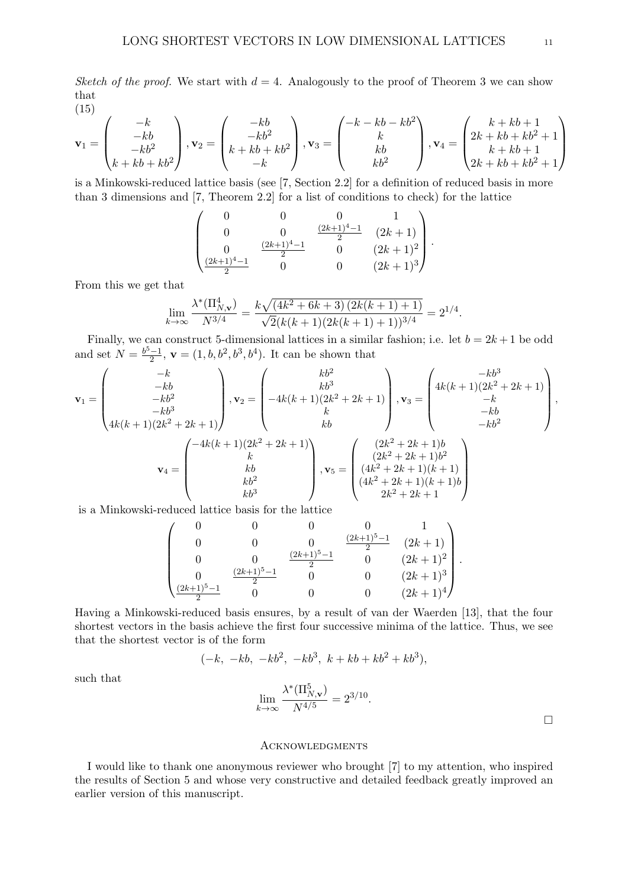Sketch of the proof. We start with  $d = 4$ . Analogously to the proof of Theorem 3 we can show that (15)

$$
\mathbf{v}_1 = \begin{pmatrix} -k \\ -kb \\ -kb^2 \\ k + kb + kb^2 \end{pmatrix}, \mathbf{v}_2 = \begin{pmatrix} -kb \\ -kb^2 \\ k + kb + kb^2 \\ -k \end{pmatrix}, \mathbf{v}_3 = \begin{pmatrix} -k - kb - kb^2 \\ k \\ kb \\ kb^2 \end{pmatrix}, \mathbf{v}_4 = \begin{pmatrix} k + kb + 1 \\ 2k + kb + kb^2 + 1 \\ k + kb + 1 \\ 2k + kb + kb^2 + 1 \end{pmatrix}
$$

is a Minkowski-reduced lattice basis (see [7, Section 2.2] for a definition of reduced basis in more than 3 dimensions and [7, Theorem 2.2] for a list of conditions to check) for the lattice

$$
\begin{pmatrix}\n0 & 0 & 0 & 1 \\
0 & 0 & \frac{(2k+1)^4 - 1}{2} & (2k+1) \\
0 & \frac{(2k+1)^4 - 1}{2} & 0 & (2k+1)^2 \\
\frac{(2k+1)^4 - 1}{2} & 0 & 0 & (2k+1)^3\n\end{pmatrix}
$$

.

From this we get that

$$
\lim_{k \to \infty} \frac{\lambda^*(\Pi_{N,\mathbf{v}}^4)}{N^{3/4}} = \frac{k\sqrt{(4k^2 + 6k + 3)(2k(k+1) + 1)}}{\sqrt{2}(k(k+1)(2k(k+1) + 1))^{3/4}} = 2^{1/4}.
$$

Finally, we can construct 5-dimensional lattices in a similar fashion; i.e. let  $b = 2k + 1$  be odd and set  $N = \frac{b^5 - 1}{2}$  $\frac{-1}{2}$ ,  $\mathbf{v} = (1, b, b^2, b^3, b^4)$ . It can be shown that

v<sup>1</sup> = −k −kb −kb<sup>2</sup> −kb<sup>3</sup> 4k(k + 1)(2k <sup>2</sup> + 2k + 1) , v<sup>2</sup> = kb<sup>2</sup> kb<sup>3</sup> −4k(k + 1)(2k <sup>2</sup> + 2k + 1) k kb , v<sup>3</sup> = −kb<sup>3</sup> 4k(k + 1)(2k <sup>2</sup> + 2k + 1) −k −kb −kb<sup>2</sup> , v<sup>4</sup> = −4k(k + 1)(2k <sup>2</sup> + 2k + 1) k kb kb<sup>2</sup> kb<sup>3</sup> , v<sup>5</sup> = (2k <sup>2</sup> + 2k + 1)b (2k <sup>2</sup> + 2k + 1)b 2 (4k <sup>2</sup> + 2k + 1)(k + 1) (4k <sup>2</sup> + 2k + 1)(k + 1)b 2k <sup>2</sup> + 2k + 1 

is a Minkowski-reduced lattice basis for the lattice

$$
\begin{pmatrix}\n0 & 0 & 0 & 0 & 1 \\
0 & 0 & 0 & \frac{(2k+1)^5 - 1}{2} & (2k+1) \\
0 & 0 & \frac{(2k+1)^5 - 1}{2} & 0 & (2k+1)^2 \\
0 & \frac{(2k+1)^5 - 1}{2} & 0 & 0 & (2k+1)^3 \\
\frac{(2k+1)^5 - 1}{2} & 0 & 0 & 0 & (2k+1)^4\n\end{pmatrix}.
$$

Having a Minkowski-reduced basis ensures, by a result of van der Waerden [13], that the four shortest vectors in the basis achieve the first four successive minima of the lattice. Thus, we see that the shortest vector is of the form

$$
(-k, -kb, -kb^2, -kb^3, k+kb+kb^2+kb^3),
$$

such that

$$
\lim_{k \to \infty} \frac{\lambda^*(\Pi^5_{N,{\bf v}})}{N^{4/5}} = 2^{3/10}.
$$

**ACKNOWLEDGMENTS** 

I would like to thank one anonymous reviewer who brought [7] to my attention, who inspired the results of Section 5 and whose very constructive and detailed feedback greatly improved an earlier version of this manuscript.

 $\Box$